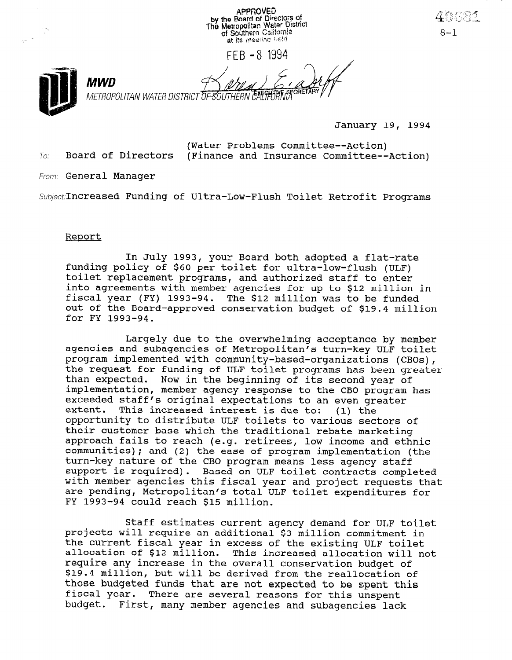**APPROVED** by the Board of Directors of<br>The Metropolitan Water District<br>of Southern California at its meeting held FFB -8 1994 MWD METROPOLITAN WATER DISTRICT OF SOUTHERN CAEY

January 19, 1994

(Water Problems Committee--Action)  $T_{0}$ : Board of Directors (Finance and Insurance Committee--Action)

From: General Manager

Subject: Increased Funding of Ultra-Low-Flush Toilet Retrofit Programs

#### Report

In July 1993, your Board both adopted a flat-rate funding policy 1993, your Board both adopted a flat-rat tunding policy of 500 per toilet for ultra-low-flush (ULF<br>toilet replacement automore, and authorized staff to the toilet replacement programs, and authorized staff to enter into agreements with member agencies for up to \$12 million in fiscal year (FY) 1993-94. The \$12 million was to be funded out of the Board-approved conservation budget of \$19.4 million for FY 1993-94.

 $L$ argely due to the overwhelming acceptance by members acceptance by members acceptance by members acceptance by  $m$ Largely due to the overwhelming acceptance by member agencies and subagencies of Metropolitan's turn-key ULF toilet program implemented with community-based-organizations (CBOs), the request for funding of ULF toilet programs has been greater than expected. Now in the beginning of its second year of implementation, member agency response to the CBO program has exceeded staff's original expectations to an even greater<br>extent. This increased interest is due to: (1) the extent. This increased interest is due to: opportunity to distribute ULF toilets to various sectors of their customer base which the traditional rebate marketing approach fails to reach (e.g. retirees, low income and ethnic communities); and (2) the ease of program implementation (the turn-key nature of the CBO program means less agency staff support is required). Based on ULF toilet contracts completed with member agencies this fiscal year and project requests that are pending, Metropolitan's total ULF toilet expenditures for FY 1993-94 could reach \$15 million.

Staff estimates current agency demand for ULF toilet projects will require an additional \$3 million commitment in the current fiscal year in excess of the existing ULF toilet allocation of \$12 million. This increased allocation will not require any increase in the overall conservation budget of \$19.4 million, but will be derived from the reallocation of those budgeted funds that are not expected to be spent this fiscal year. There are several reasons for this unspent budget. First, many member agencies and subagencies lack